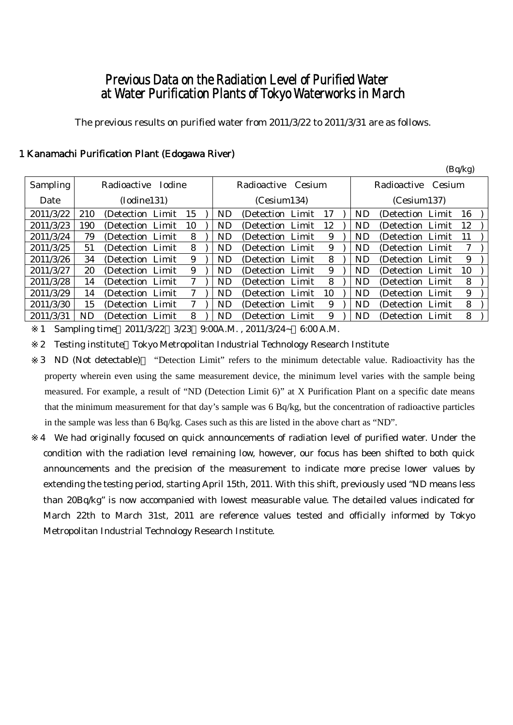# Previous Data on the Radiation Level of Purified Water at Water Purification Plants of Tokyo Waterworks in March

The previous results on purified water from 2011/3/22 to 2011/3/31 are as follows.

(Bq/kg)

|                 |             |                   |               |    |             |           |                    |             |    |  |           |                   |        | $\sim$ 1. $\sim$ $\sim$ |  |
|-----------------|-------------|-------------------|---------------|----|-------------|-----------|--------------------|-------------|----|--|-----------|-------------------|--------|-------------------------|--|
| <b>Sampling</b> |             | Radioactive       | <b>Iodine</b> |    |             |           | Radioactive Cesium |             |    |  |           | Radioactive       | Cesium |                         |  |
| Date            | (Iodine131) |                   |               |    | (Cesium134) |           |                    | (Cesium137) |    |  |           |                   |        |                         |  |
| 2011/3/22       | 210         | (Detection Limit) |               | 15 |             | <b>ND</b> | (Detection Limit)  |             | 17 |  | <b>ND</b> | (Detection Limit) |        | 16                      |  |
| 2011/3/23       | 190         | (Detection Limit) |               | 10 |             | ND        | (Detection Limit)  |             | 12 |  | <b>ND</b> | (Detection Limit) |        | 12                      |  |
| 2011/3/24       | 79          | (Detection Limit) |               | 8  |             | ND.       | (Detection Limit)  |             | 9  |  | <b>ND</b> | (Detection Limit) |        | 11                      |  |
| 2011/3/25       | 51          | (Detection Limit) |               | 8  |             | ND        | (Detection Limit)  |             | 9  |  | <b>ND</b> | (Detection Limit) |        | 7                       |  |
| 2011/3/26       | 34          | (Detection Limit) |               | 9  |             | ND.       | (Detection Limit)  |             | 8  |  | ND        | (Detection Limit) |        | 9                       |  |
| 2011/3/27       | 20          | (Detection Limit) |               | 9  |             | <b>ND</b> | (Detection Limit)  |             | 9  |  | <b>ND</b> | (Detection Limit) |        | 10                      |  |
| 2011/3/28       | 14          | (Detection Limit) |               | 7  |             | ND.       | (Detection Limit)  |             | 8  |  | <b>ND</b> | (Detection Limit) |        | 8                       |  |
| 2011/3/29       | 14          | (Detection Limit) |               |    |             | <b>ND</b> | (Detection Limit)  |             | 10 |  | <b>ND</b> | (Detection Limit) |        | 9                       |  |
| 2011/3/30       | 15          | (Detection Limit) |               | 7  |             | ND        | (Detection Limit)  |             | 9  |  | ND        | (Detection Limit) |        | 8                       |  |
| 2011/3/31       | ND          | (Detection)       | Limit         | 8  |             | <b>ND</b> | (Detection)        | Limit       | 9  |  | <b>ND</b> | (Detection Limit) |        | 8                       |  |

## 1 Kanamachi Purification Plant (Edogawa River)

1 Sampling time 2011/3/22 3/23 9:00A.M. , 2011/3/24~ 6:00 A.M.

2 Testing institute Tokyo Metropolitan Industrial Technology Research Institute

3 ND (Not detectable) "Detection Limit" refers to the minimum detectable value. Radioactivity has the property wherein even using the same measurement device, the minimum level varies with the sample being measured. For example, a result of "ND (Detection Limit 6)" at X Purification Plant on a specific date means that the minimum measurement for that day's sample was 6 Bq/kg, but the concentration of radioactive particles in the sample was less than 6 Bq/kg. Cases such as this are listed in the above chart as "ND".

4 We had originally focused on quick announcements of radiation level of purified water. Under the condition with the radiation level remaining low, however, our focus has been shifted to both quick announcements and the precision of the measurement to indicate more precise lower values by extending the testing period, starting April 15th, 2011. With this shift, previously used "ND means less than 20Bq/kg" is now accompanied with lowest measurable value. The detailed values indicated for March 22th to March 31st, 2011 are reference values tested and officially informed by Tokyo Metropolitan Industrial Technology Research Institute.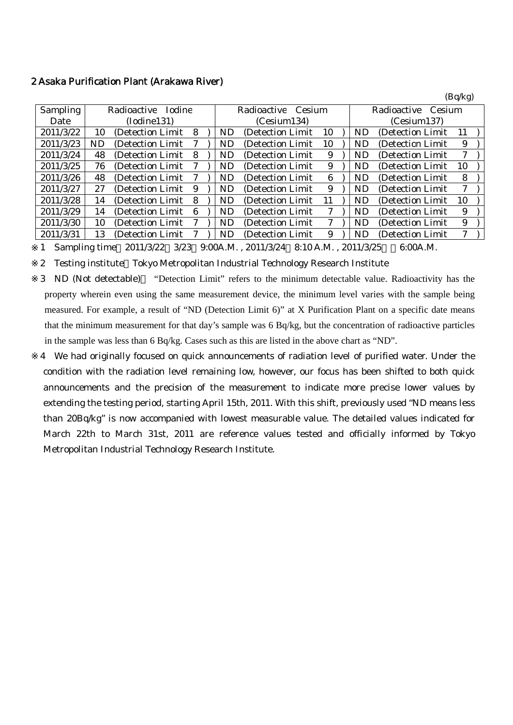#### 2 Asaka Purification Plant (Arakawa River)

|                 |                              |                   |   |             |                       |                   |             |                       |           |                   | (Dq/Kg) |  |
|-----------------|------------------------------|-------------------|---|-------------|-----------------------|-------------------|-------------|-----------------------|-----------|-------------------|---------|--|
| <b>Sampling</b> | <b>Iodine</b><br>Radioactive |                   |   |             | Radioactive<br>Cesium |                   |             | Radioactive<br>Cesium |           |                   |         |  |
| Date            | (Iodine131)                  |                   |   | (Cesium134) |                       |                   | (Cesium137) |                       |           |                   |         |  |
| 2011/3/22       | 10                           | (Detection Limit) | 8 |             | ND                    | (Detection Limit) | 10          |                       | <b>ND</b> | (Detection Limit  | 11      |  |
| 2011/3/23       | ND                           | (Detection Limit) |   |             | ND                    | (Detection Limit) | 10          |                       | <b>ND</b> | (Detection Limit) | 9       |  |
| 2011/3/24       | 48                           | (Detection Limit) | 8 |             | ND                    | (Detection Limit) | 9           |                       | <b>ND</b> | (Detection Limit) | 7       |  |
| 2011/3/25       | 76                           | (Detection Limit) |   |             | ND                    | (Detection Limit) | 9           |                       | <b>ND</b> | (Detection Limit) | 10      |  |
| 2011/3/26       | 48                           | (Detection Limit) |   |             | ND                    | (Detection Limit) | 6           |                       | <b>ND</b> | (Detection Limit) | 8       |  |
| 2011/3/27       | 27                           | (Detection Limit) | 9 |             | ND                    | (Detection Limit) | 9           |                       | <b>ND</b> | (Detection Limit) | 7       |  |
| 2011/3/28       | 14                           | (Detection Limit) | 8 |             | ND                    | (Detection Limit) | 11          |                       | <b>ND</b> | (Detection Limit) | 10      |  |
| 2011/3/29       | 14                           | (Detection Limit) | 6 |             | ND                    | (Detection Limit) | 7           |                       | <b>ND</b> | (Detection Limit) | 9       |  |
| 2011/3/30       | 10                           | (Detection Limit  |   |             | ND                    | (Detection Limit) | 7           |                       | <b>ND</b> | (Detection Limit) | 9       |  |
| 2011/3/31       | 13                           | (Detection Limit) |   |             | ND                    | (Detection Limit) | 9           |                       | <b>ND</b> | (Detection Limit) | 7       |  |
|                 |                              |                   |   |             |                       |                   |             |                       |           |                   |         |  |

 $(D - A - A)$ 

1 Sampling time 2011/3/22 3/23 9:00A.M. , 2011/3/24 8:10 A.M. , 2011/3/25 6:00A.M.

2 Testing institute Tokyo Metropolitan Industrial Technology Research Institute

3 ND (Not detectable) "Detection Limit" refers to the minimum detectable value. Radioactivity has the property wherein even using the same measurement device, the minimum level varies with the sample being measured. For example, a result of "ND (Detection Limit 6)" at X Purification Plant on a specific date means that the minimum measurement for that day's sample was 6 Bq/kg, but the concentration of radioactive particles in the sample was less than 6 Bq/kg. Cases such as this are listed in the above chart as "ND".

4 We had originally focused on quick announcements of radiation level of purified water. Under the condition with the radiation level remaining low, however, our focus has been shifted to both quick announcements and the precision of the measurement to indicate more precise lower values by extending the testing period, starting April 15th, 2011. With this shift, previously used "ND means less than 20Bq/kg" is now accompanied with lowest measurable value. The detailed values indicated for March 22th to March 31st, 2011 are reference values tested and officially informed by Tokyo Metropolitan Industrial Technology Research Institute.